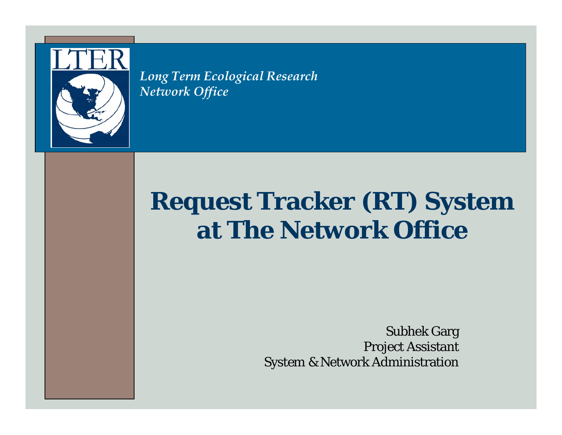

*Long Term Ecological Research Network Office*

## **Request Tracker (RT) System at The Network Office**

Subhek Garg Project Assistant System & Network Administration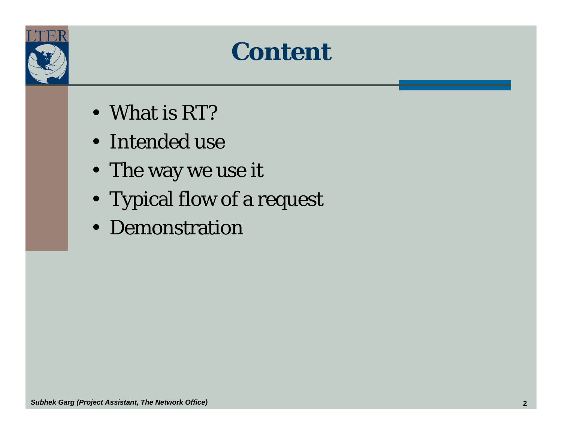

#### **Content**

- What is RT?
- Intended use
- The way we use it
- Typical flow of a request
- Demonstration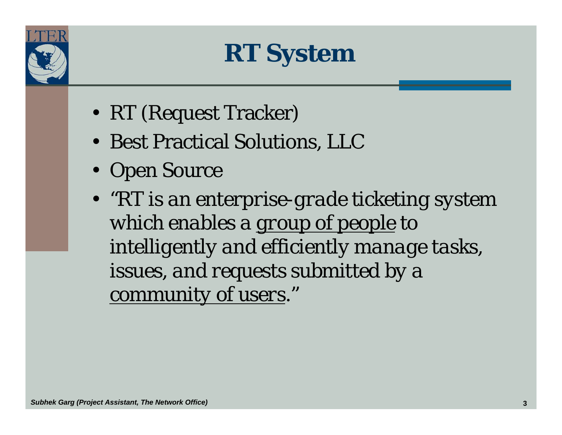

**RT System**

- RT (Request Tracker)
- Best Practical Solutions, LLC
- Open Source
- *"RT is an enterprise-grade ticketing system which enables a group of people to intelligently and efficiently manage tasks, issues, and requests submitted by a community of users."*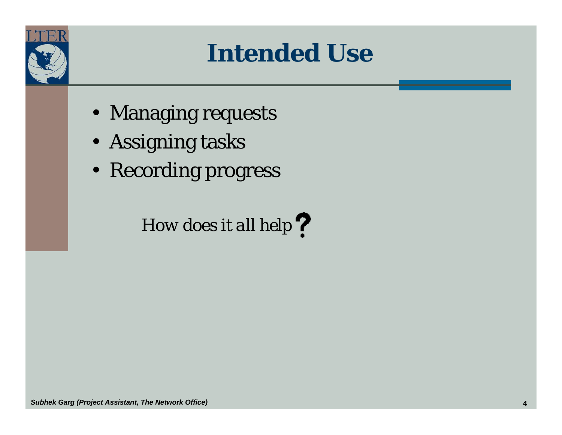

## **Intended Use**

- Managing requests
- Assigning tasks
- Recording progress

#### *How does it all help*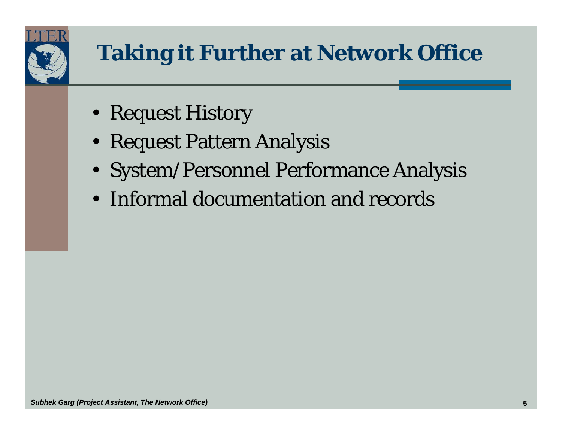

- Request History
- Request Pattern Analysis
- System/Personnel Performance Analysis
- Informal documentation and records